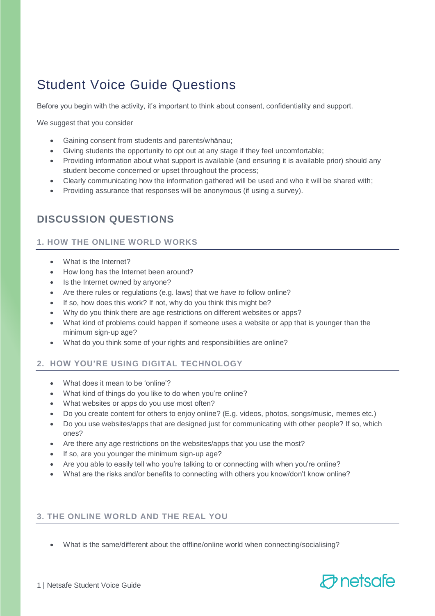# Student Voice Guide Questions

Before you begin with the activity, it's important to think about consent, confidentiality and support.

We suggest that you consider

- Gaining consent from students and parents/whānau;
- Giving students the opportunity to opt out at any stage if they feel uncomfortable;
- Providing information about what support is available (and ensuring it is available prior) should any student become concerned or upset throughout the process;
- Clearly communicating how the information gathered will be used and who it will be shared with;
- Providing assurance that responses will be anonymous (if using a survey).

# **DISCUSSION QUESTIONS**

#### **1. HOW THE ONLINE WORLD WORKS**

- What is the Internet?
- How long has the Internet been around?
- Is the Internet owned by anyone?
- Are there rules or regulations (e.g. laws) that we *have to* follow online?
- If so, how does this work? If not, why do you think this might be?
- Why do you think there are age restrictions on different websites or apps?
- What kind of problems could happen if someone uses a website or app that is younger than the minimum sign-up age?
- What do you think some of your rights and responsibilities are online?

## **2. HOW YOU'RE USING DIGITAL TECHNOLOGY**

- What does it mean to be 'online'?
- What kind of things do you like to do when you're online?
- What websites or apps do you use most often?
- Do you create content for others to enjoy online? (E.g. videos, photos, songs/music, memes etc.)
- Do you use websites/apps that are designed just for communicating with other people? If so, which ones?
- Are there any age restrictions on the websites/apps that you use the most?
- If so, are you younger the minimum sign-up age?
- Are you able to easily tell who you're talking to or connecting with when you're online?
- What are the risks and/or benefits to connecting with others you know/don't know online?

## **3. THE ONLINE WORLD AND THE REAL YOU**

• What is the same/different about the offline/online world when connecting/socialising?

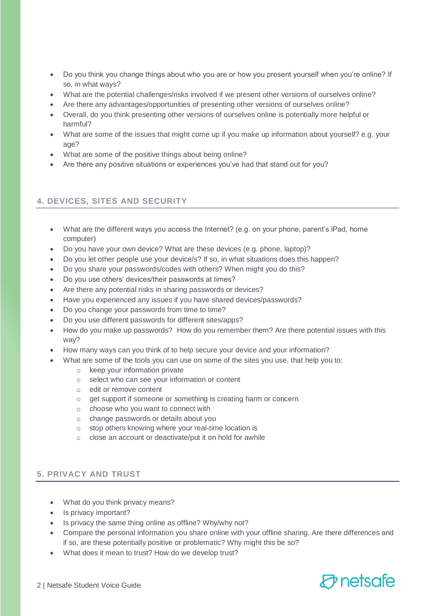- Do you think you change things about who you are or how you present yourself when you're online? If so, in what ways?
- What are the potential challenges/risks involved if we present other versions of ourselves online?
- Are there any advantages/opportunities of presenting other versions of ourselves online?
- Overall, do you think presenting other versions of ourselves online is potentially more helpful or harmful?
- What are some of the issues that might come up if you make up information about yourself? e.g. your age?
- What are some of the positive things about being online?
- Are there any positive situations or experiences you've had that stand out for you?

## **4. DEVICES, SITES AND SECURITY**

- What are the different ways you access the Internet? (e.g. on your phone, parent's iPad, home computer)
- Do you have your own device? What are these devices (e.g. phone, laptop)?
- Do you let other people use your device/s? If so, in what situations does this happen?
- Do you share your passwords/codes with others? When might you do this?
- Do you use others' devices/their passwords at times?
- Are there any potential risks in sharing passwords or devices?
- Have you experienced any issues if you have shared devices/passwords?
- Do you change your passwords from time to time?
- Do you use different passwords for different sites/apps?
- How do you make up passwords? How do you remember them? Are there potential issues with this way?
- How many ways can you think of to help secure your device and your information?
- What are some of the tools you can use on some of the sites you use, that help you to:
	- o keep your information private
	- o select who can see your information or content
	- o edit or remove content
	- o get support if someone or something is creating harm or concern
	- o choose who you want to connect with
	- o change passwords or details about you
	- o stop others knowing where your real-time location is
	- o close an account or deactivate/put it on hold for awhile

## **5. PRIVACY AND TRUST**

- What do you think privacy means?
- Is privacy important?
- Is privacy the same thing online as offline? Why/why not?
- Compare the personal information you share online with your offline sharing. Are there differences and if so, are these potentially positive or problematic? Why might this be so?
- What does it mean to trust? How do we develop trust?